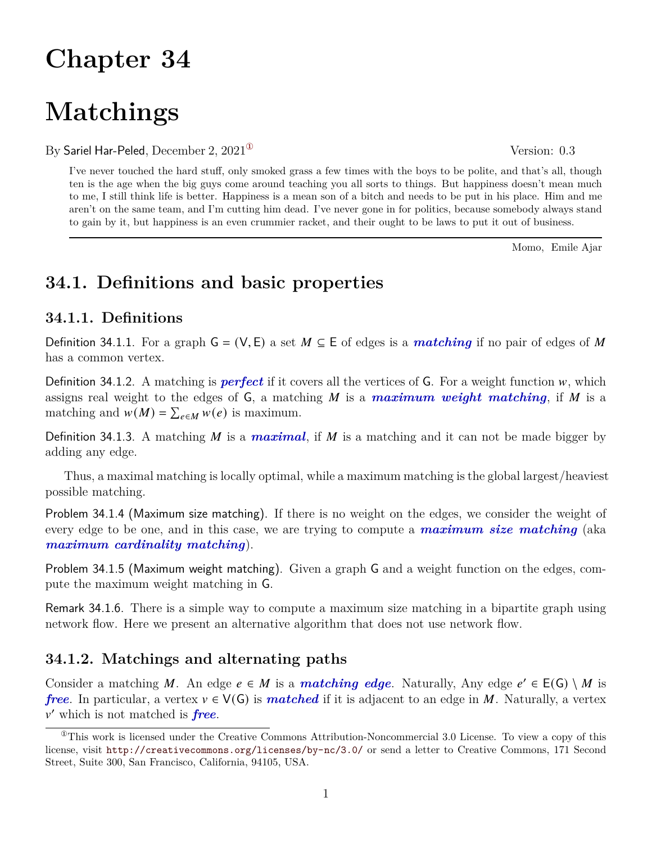# **Chapter 34**

# **Matchings**

By Sariel Har-Peled, December 2,  $2021^{\circ}$  Version: 0.3

I've never touched the hard stuff, only smoked grass a few times with the boys to be polite, and that's all, though ten is the age when the big guys come around teaching you all sorts to things. But happiness doesn't mean much to me, I still think life is better. Happiness is a mean son of a bitch and needs to be put in his place. Him and me aren't on the same team, and I'm cutting him dead. I've never gone in for politics, because somebody always stand to gain by it, but happiness is an even crummier racket, and their ought to be laws to put it out of business.

Momo, Emile Ajar

# **34.1. Definitions and basic properties**

## **34.1.1. Definitions**

Definition 34.1.1. For a graph  $G = (V, E)$  a set  $M \subseteq E$  of edges is a *matching* if no pair of edges of M has a common vertex.

Definition 34.1.2. A matching is *perfect* if it covers all the vertices of  $\mathsf{G}$ . For a weight function  $w$ , which assigns real weight to the edges of  $G$ , a matching  $M$  is a *maximum weight matching*, if  $M$  is a matching and  $w(M) = \sum_{e \in M} w(e)$  is maximum.

Definition 34.1.3. A matching M is a *maximal*, if M is a matching and it can not be made bigger by adding any edge.

Thus, a maximal matching is locally optimal, while a maximum matching is the global largest/heaviest possible matching.

Problem 34.1.4 (Maximum size matching). If there is no weight on the edges, we consider the weight of every edge to be one, and in this case, we are trying to compute a *maximum size matching* (aka *maximum cardinality matching*).

Problem 34.1.5 (Maximum weight matching). Given a graph G and a weight function on the edges, compute the maximum weight matching in G.

Remark 34.1.6. There is a simple way to compute a maximum size matching in a bipartite graph using network flow. Here we present an alternative algorithm that does not use network flow.

## **34.1.2. Matchings and alternating paths**

Consider a matching M. An edge  $e \in M$  is a **matching edge**. Naturally, Any edge  $e' \in E(G) \setminus M$  is *free*. In particular, a vertex  $v \in V(G)$  is *matched* if it is adjacent to an edge in M. Naturally, a vertex  $v'$  which is not matched is **free**.

<span id="page-0-0"></span> ${}^{\circ}$ This work is licensed under the Creative Commons Attribution-Noncommercial 3.0 License. To view a copy of this license, visit <http://creativecommons.org/licenses/by-nc/3.0/> or send a letter to Creative Commons, 171 Second Street, Suite 300, San Francisco, California, 94105, USA.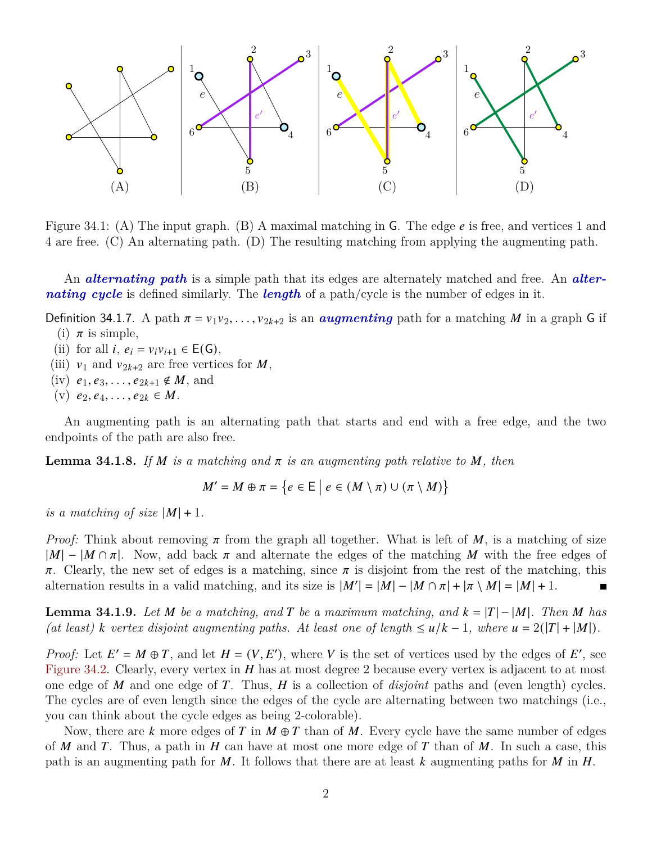

Figure 34.1: (A) The input graph. (B) A maximal matching in G. The edge  $e$  is free, and vertices 1 and 4 are free. (C) An alternating path. (D) The resulting matching from applying the augmenting path.

An *alternating path* is a simple path that its edges are alternately matched and free. An *alternating cycle* is defined similarly. The *length* of a path/cycle is the number of edges in it.

Definition 34.1.7. A path  $\pi = v_1v_2, \ldots, v_{2k+2}$  is an *augmenting* path for a matching *M* in a graph G if

- (i)  $\pi$  is simple,
- (ii) for all  $i, e_i = v_i v_{i+1} \in E(G)$ ,
- (iii)  $v_1$  and  $v_{2k+2}$  are free vertices for M,
- (iv)  $e_1, e_3, \ldots, e_{2k+1} \notin M$ , and
- (v)  $e_2, e_4, \ldots, e_{2k} \in M$ .

An augmenting path is an alternating path that starts and end with a free edge, and the two endpoints of the path are also free.

**Lemma 34.1.8.** If M is a matching and  $\pi$  is an augmenting path relative to M, then

 $M' = M \oplus \pi = \{e \in E \mid e \in (M \setminus \pi) \cup (\pi \setminus M)\}\$ 

*is a matching of size*  $|M| + 1$ .

*Proof:* Think about removing  $\pi$  from the graph all together. What is left of M, is a matching of size  $|M| - |M \cap \pi|$ . Now, add back  $\pi$  and alternate the edges of the matching M with the free edges of  $\pi$ . Clearly, the new set of edges is a matching, since  $\pi$  is disjoint from the rest of the matching, this alternation results in a valid matching, and its size is  $|M'| = |M| - |M \cap \pi| + |\pi \setminus M| = |M| + 1$ .

<span id="page-1-0"></span>**Lemma 34.1.9.** Let M be a matching, and T be a maximum matching, and  $k = |T| - |M|$ . Then M has *(at least)*  $k$  vertex disjoint augmenting paths. At least one of length  $\leq u/k - 1$ , where  $u = 2(|T| + |M|)$ .

*Proof:* Let  $E' = M \oplus T$ , and let  $H = (V, E')$ , where V is the set of vertices used by the edges of E', see [Figure 34.2.](#page-2-0) Clearly, every vertex in  $H$  has at most degree 2 because every vertex is adjacent to at most one edge of  $M$  and one edge of  $T$ . Thus,  $H$  is a collection of *disjoint* paths and (even length) cycles. The cycles are of even length since the edges of the cycle are alternating between two matchings (i.e., you can think about the cycle edges as being 2-colorable).

Now, there are k more edges of T in  $M \oplus T$  than of M. Every cycle have the same number of edges of M and T. Thus, a path in H can have at most one more edge of T than of M. In such a case, this path is an augmenting path for M. It follows that there are at least k augmenting paths for M in  $H$ .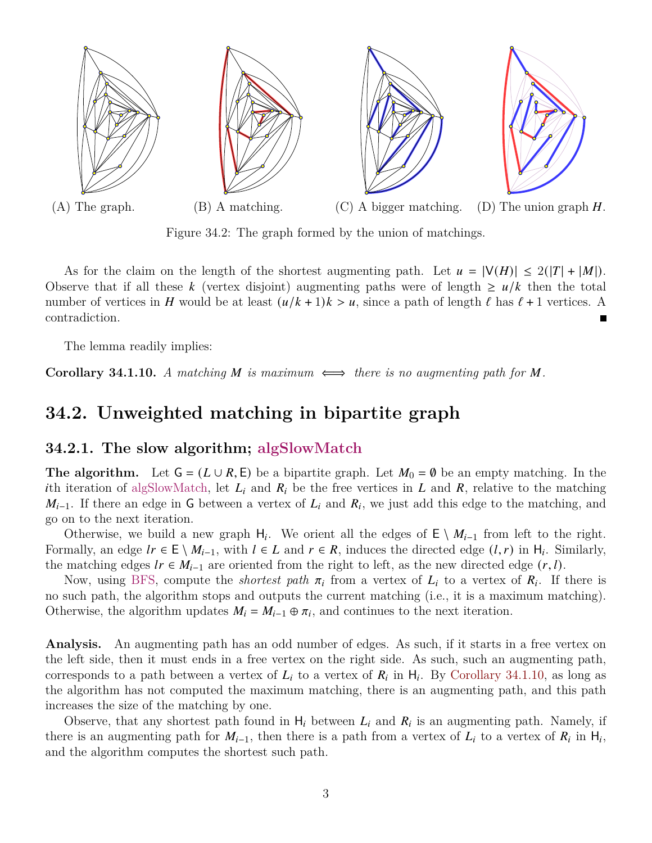<span id="page-2-0"></span>

<span id="page-2-1"></span>Figure 34.2: The graph formed by the union of matchings.

As for the claim on the length of the shortest augmenting path. Let  $u = |V(H)| \le 2(|T| + |M|)$ . Observe that if all these k (vertex disjoint) augmenting paths were of length  $\geq u/k$  then the total number of vertices in H would be at least  $(u/k + 1)k > u$ , since a path of length  $\ell$  has  $\ell + 1$  vertices. A contradiction.

The lemma readily implies:

**Corollary 34.1.10.** A matching M is maximum  $\iff$  there is no augmenting path for M.

## **34.2. Unweighted matching in bipartite graph**

### <span id="page-2-2"></span>**34.2.1. The slow algorithm; algSlowMatch**

**The algorithm.** Let  $G = (L \cup R, E)$  be a bipartite graph. Let  $M_0 = \emptyset$  be an empty matching. In the ith iteration of algSlowMatch, let  $L_i$  and  $R_i$  be the free vertices in L and R, relative to the matching  $M_{i-1}$ . If there an edge in G between a vertex of  $L_i$  and  $R_i$ , we just add this edge to the matching, and go on to the next iteration.

Otherwise, we build a new graph  $H_i$ . We orient all the edges of  $E \setminus M_{i-1}$  from left to the right. Formally, an edge  $lr \in E \setminus M_{i-1}$ , with  $l \in L$  and  $r \in R$ , induces the directed edge  $(l, r)$  in  $H_i$ . Similarly, the matching edges  $lr \in M_{i-1}$  are oriented from the right to left, as the new directed edge  $(r, l)$ .

Now, using BFS, compute the *shortest path*  $\pi_i$  from a vertex of  $L_i$  to a vertex of  $R_i$ . If there is no such path, the algorithm stops and outputs the current matching (i.e., it is a maximum matching). Otherwise, the algorithm updates  $M_i = M_{i-1} \oplus \pi_i$ , and continues to the next iteration.

**Analysis.** An augmenting path has an odd number of edges. As such, if it starts in a free vertex on the left side, then it must ends in a free vertex on the right side. As such, such an augmenting path, corresponds to a path between a vertex of  $L_i$  to a vertex of  $R_i$  in  $H_i$ . By [Corollary 34.1.10,](#page-2-1) as long as the algorithm has not computed the maximum matching, there is an augmenting path, and this path increases the size of the matching by one.

Observe, that any shortest path found in  $H_i$  between  $L_i$  and  $R_i$  is an augmenting path. Namely, if there is an augmenting path for  $M_{i-1}$ , then there is a path from a vertex of  $L_i$  to a vertex of  $R_i$  in  $H_i$ , and the algorithm computes the shortest such path.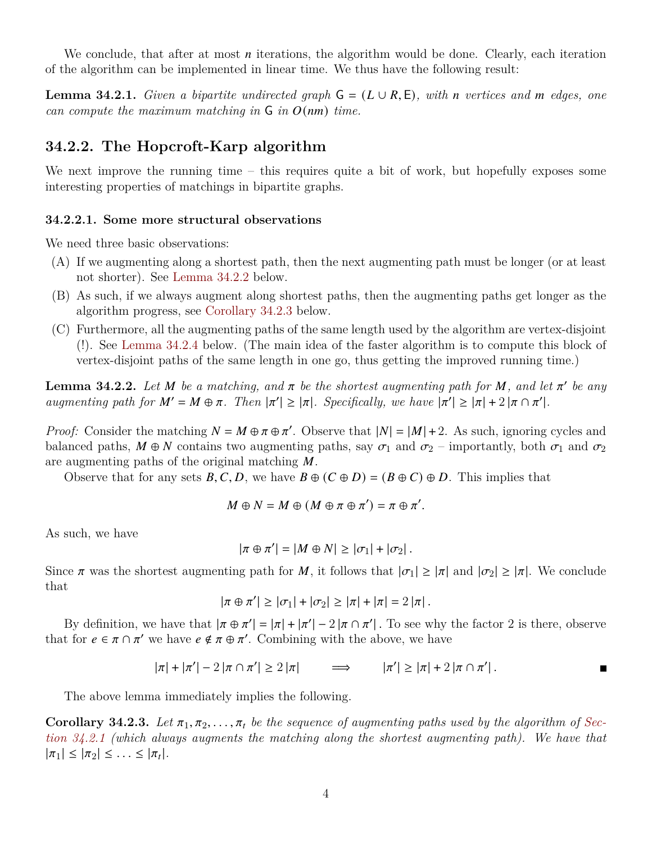We conclude, that after at most  $n$  iterations, the algorithm would be done. Clearly, each iteration of the algorithm can be implemented in linear time. We thus have the following result:

**Lemma 34.2.1.** *Given a bipartite undirected graph*  $G = (L \cup R, E)$ *, with n vertices and m edges, one can compute the maximum matching in*  $\overline{G}$  *in*  $O(nm)$  *time.* 

### **34.2.2. The Hopcroft-Karp algorithm**

We next improve the running time – this requires quite a bit of work, but hopefully exposes some interesting properties of matchings in bipartite graphs.

#### **34.2.2.1. Some more structural observations**

We need three basic observations:

- (A) If we augmenting along a shortest path, then the next augmenting path must be longer (or at least not shorter). See [Lemma 34.2.2](#page-3-0) below.
- (B) As such, if we always augment along shortest paths, then the augmenting paths get longer as the algorithm progress, see [Corollary 34.2.3](#page-3-1) below.
- (C) Furthermore, all the augmenting paths of the same length used by the algorithm are vertex-disjoint (!). See [Lemma 34.2.4](#page-3-2) below. (The main idea of the faster algorithm is to compute this block of vertex-disjoint paths of the same length in one go, thus getting the improved running time.)

<span id="page-3-0"></span>**Lemma 34.2.2.** Let M be a matching, and  $\pi$  be the shortest augmenting path for M, and let  $\pi'$  be any *augmenting path for*  $M' = M \oplus \pi$ . Then  $|\pi'| \geq |\pi|$ . Specifically, we have  $|\pi'| \geq |\pi| + 2 |\pi \cap \pi'|$ .

*Proof:* Consider the matching  $N = M \oplus \pi \oplus \pi'$ . Observe that  $|N| = |M| + 2$ . As such, ignoring cycles and balanced paths,  $M \oplus N$  contains two augmenting paths, say  $\sigma_1$  and  $\sigma_2$  – importantly, both  $\sigma_1$  and  $\sigma_2$ are augmenting paths of the original matching  $M$ .

Observe that for any sets  $B, C, D$ , we have  $B \oplus (C \oplus D) = (B \oplus C) \oplus D$ . This implies that

$$
M \oplus N = M \oplus (M \oplus \pi \oplus \pi') = \pi \oplus \pi'.
$$

As such, we have

$$
|\pi \oplus \pi'| = |M \oplus N| \geq |\sigma_1| + |\sigma_2|.
$$

Since  $\pi$  was the shortest augmenting path for M, it follows that  $|\sigma_1| \geq |\pi|$  and  $|\sigma_2| \geq |\pi|$ . We conclude that

$$
|\pi \oplus \pi'| \geq |\sigma_1| + |\sigma_2| \geq |\pi| + |\pi| = 2 |\pi|.
$$

By definition, we have that  $|\pi \oplus \pi'| = |\pi| + |\pi'| - 2 |\pi \cap \pi'|$ . To see why the factor 2 is there, observe that for  $e \in \pi \cap \pi'$  we have  $e \notin \pi \oplus \pi'$ . Combining with the above, we have

$$
|\pi| + |\pi'| - 2 |\pi \cap \pi'| \ge 2 |\pi| \qquad \Longrightarrow \qquad |\pi'| \ge |\pi| + 2 |\pi \cap \pi'|.
$$

The above lemma immediately implies the following.

<span id="page-3-2"></span><span id="page-3-1"></span>**Corollary 34.2.3.** Let  $\pi_1, \pi_2, \ldots, \pi_t$  be the sequence of augmenting paths used by the algorithm of [Sec](#page-2-2)*[tion 34.2.1](#page-2-2) (which always augments the matching along the shortest augmenting path). We have that*  $|\pi_1| \leq |\pi_2| \leq \ldots \leq |\pi_t|.$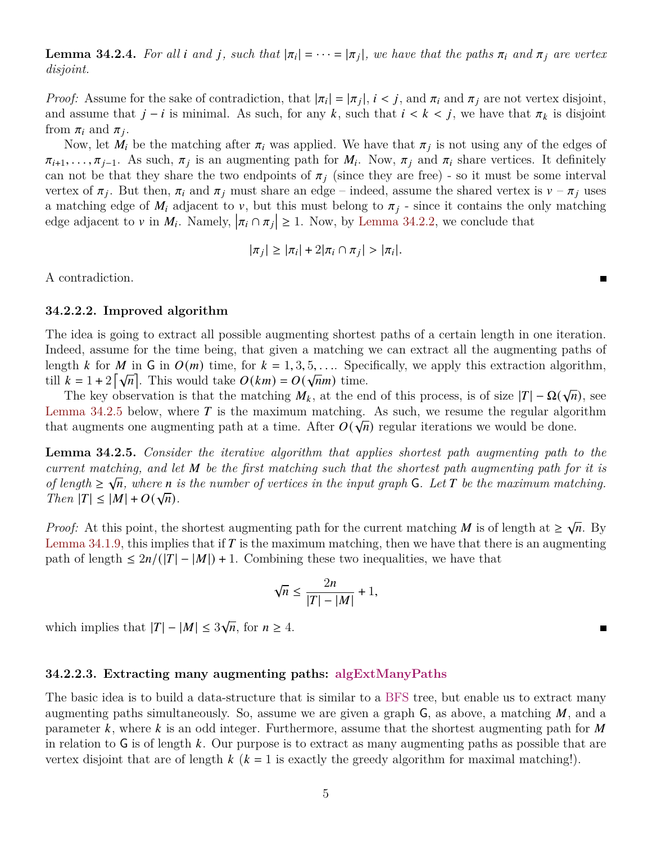**Lemma 34.2.4.** For all *i* and *j*, such that  $|\pi_i| = \cdots = |\pi_j|$ , we have that the paths  $\pi_i$  and  $\pi_j$  are vertex *disjoint.*

*Proof:* Assume for the sake of contradiction, that  $|\pi_i| = |\pi_i|$ ,  $i < j$ , and  $\pi_i$  and  $\pi_j$  are not vertex disjoint, and assume that  $j - i$  is minimal. As such, for any k, such that  $i < k < j$ , we have that  $\pi_k$  is disjoint from  $\pi_i$  and  $\pi_j$ .

Now, let  $\dot{M}_i$  be the matching after  $\pi_i$  was applied. We have that  $\pi_j$  is not using any of the edges of  $\pi_{i+1}, \ldots, \pi_{j-1}$ . As such,  $\pi_j$  is an augmenting path for  $M_i$ . Now,  $\pi_j$  and  $\pi_i$  share vertices. It definitely can not be that they share the two endpoints of  $\pi_i$  (since they are free) - so it must be some interval vertex of  $\pi_i$ . But then,  $\pi_i$  and  $\pi_j$  must share an edge – indeed, assume the shared vertex is  $v - \pi_j$  uses a matching edge of  $M_i$  adjacent to v, but this must belong to  $\pi_j$  - since it contains the only matching edge adjacent to v in  $M_i$ . Namely,  $|\pi_i \cap \pi_j| \geq 1$ . Now, by [Lemma 34.2.2,](#page-3-0) we conclude that

$$
|\pi_j| \geq |\pi_i| + 2|\pi_i \cap \pi_j| > |\pi_i|.
$$

A contradiction.

#### <span id="page-4-1"></span>**34.2.2.2. Improved algorithm**

The idea is going to extract all possible augmenting shortest paths of a certain length in one iteration. Indeed, assume for the time being, that given a matching we can extract all the augmenting paths of length *k* for *M* in G in  $O(m)$  time, for  $k = 1, 3, 5, \ldots$  Specifically, we apply this extraction algorithm, till  $k = 1 + 2[\sqrt{n}]$ . This would take  $O(km) = O(\sqrt{nm})$  time.

 $\kappa = 1 + 2 |\mathbf{v}^n|$ . This would take  $\mathcal{O}(\kappa m) = \mathcal{O}(\mathbf{v}^n)$  time.<br>The key observation is that the matching  $M_k$ , at the end of this process, is of size  $|T| - \Omega(\sqrt{n})$ , see [Lemma 34.2.5](#page-4-0) below, where  $\overline{T}$  is the maximum matching. As such, we resume the regular algorithm that augments one augmenting path at a time. After  $O(\sqrt{n})$  regular iterations we would be done.

<span id="page-4-0"></span>**Lemma 34.2.5.** *Consider the iterative algorithm that applies shortest path augmenting path to the current matching, and let be the first matching such that the shortest path augmenting path for it is of length*  $\geq \sqrt{n}$ , where *n* is the number of vertices in the input graph G. Let T be the maximum matching. *Then*  $|T| \leq |M| + O(\sqrt{n}).$ 

*Proof:* At this point, the shortest augmenting path for the current matching M is of length at  $\geq \sqrt{n}$ . By [Lemma 34.1.9,](#page-1-0) this implies that if  $T$  is the maximum matching, then we have that there is an augmenting path of length  $\leq 2n/(|T|-|M|)+1$ . Combining these two inequalities, we have that

$$
\sqrt{n} \le \frac{2n}{|T| - |M|} + 1,
$$

which implies that  $|T| - |M| \leq 3\sqrt{n}$ , for  $n \geq 4$ .

#### **34.2.2.3. Extracting many augmenting paths: algExtManyPaths**

The basic idea is to build a data-structure that is similar to a BFS tree, but enable us to extract many augmenting paths simultaneously. So, assume we are given a graph  $G$ , as above, a matching  $M$ , and a parameter  $k$ , where  $k$  is an odd integer. Furthermore, assume that the shortest augmenting path for  $M$ in relation to G is of length k. Our purpose is to extract as many augmenting paths as possible that are vertex disjoint that are of length  $k$  ( $k = 1$  is exactly the greedy algorithm for maximal matching!).

 $\blacksquare$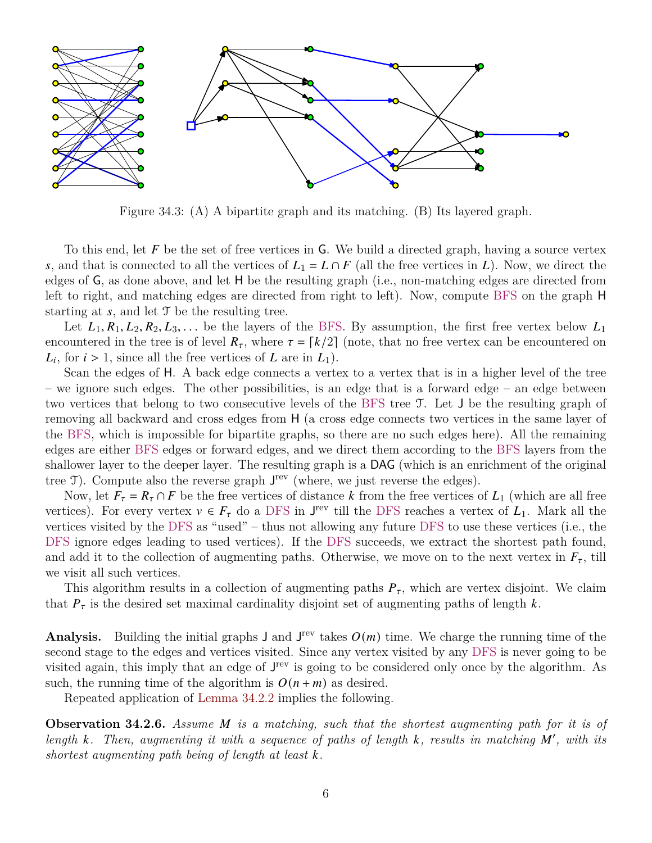<span id="page-5-0"></span>

Figure 34.3: (A) A bipartite graph and its matching. (B) Its layered graph.

To this end, let  $F$  be the set of free vertices in G. We build a directed graph, having a source vertex s, and that is connected to all the vertices of  $L_1 = L \cap F$  (all the free vertices in L). Now, we direct the edges of G, as done above, and let H be the resulting graph (i.e., non-matching edges are directed from left to right, and matching edges are directed from right to left). Now, compute BFS on the graph H starting at  $s$ , and let  $\mathcal T$  be the resulting tree.

Let  $L_1, R_1, L_2, R_2, L_3, \ldots$  be the layers of the BFS. By assumption, the first free vertex below  $L_1$ encountered in the tree is of level  $R_{\tau}$ , where  $\tau = \lfloor k/2 \rfloor$  (note, that no free vertex can be encountered on  $L_i$ , for  $i > 1$ , since all the free vertices of L are in  $L_1$ ).

Scan the edges of H. A back edge connects a vertex to a vertex that is in a higher level of the tree – we ignore such edges. The other possibilities, is an edge that is a forward edge – an edge between two vertices that belong to two consecutive levels of the BFS tree T. Let J be the resulting graph of removing all backward and cross edges from H (a cross edge connects two vertices in the same layer of the BFS, which is impossible for bipartite graphs, so there are no such edges here). All the remaining edges are either BFS edges or forward edges, and we direct them according to the BFS layers from the shallower layer to the deeper layer. The resulting graph is a DAG (which is an enrichment of the original tree  $\mathcal{T}$ ). Compute also the reverse graph  $J^{\text{rev}}$  (where, we just reverse the edges).

Now, let  $F_{\tau} = R_{\tau} \cap F$  be the free vertices of distance k from the free vertices of  $L_1$  (which are all free vertices). For every vertex  $v \in F_{\tau}$  do a DFS in J<sup>rev</sup> till the DFS reaches a vertex of  $L_1$ . Mark all the vertices visited by the DFS as "used" – thus not allowing any future DFS to use these vertices (i.e., the DFS ignore edges leading to used vertices). If the DFS succeeds, we extract the shortest path found, and add it to the collection of augmenting paths. Otherwise, we move on to the next vertex in  $F_{\tau}$ , till we visit all such vertices.

This algorithm results in a collection of augmenting paths  $P_{\tau}$ , which are vertex disjoint. We claim that  $P_{\tau}$  is the desired set maximal cardinality disjoint set of augmenting paths of length k.

**Analysis.** Building the initial graphs  $J$  and  $J^{\text{rev}}$  takes  $O(m)$  time. We charge the running time of the second stage to the edges and vertices visited. Since any vertex visited by any DFS is never going to be visited again, this imply that an edge of  $J^{\text{rev}}$  is going to be considered only once by the algorithm. As such, the running time of the algorithm is  $O(n + m)$  as desired.

Repeated application of [Lemma 34.2.2](#page-3-0) implies the following.

<span id="page-5-1"></span>**Observation 34.2.6.** *Assume is a matching, such that the shortest augmenting path for it is of* length  $k$ . Then, augmenting it with a sequence of paths of length  $k$ , results in matching  $M'$ , with its *shortest augmenting path being of length at least .*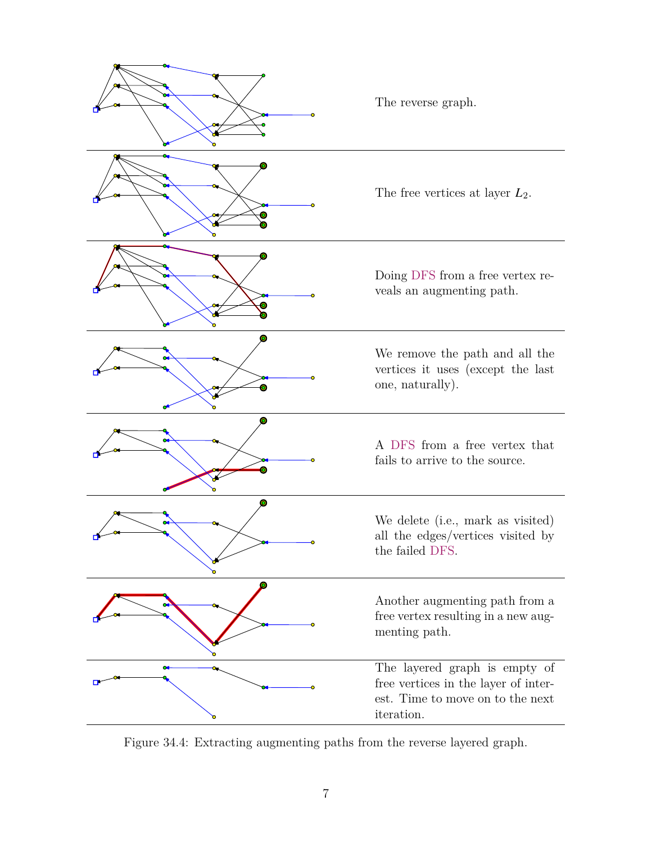

Figure 34.4: Extracting augmenting paths from the reverse layered graph.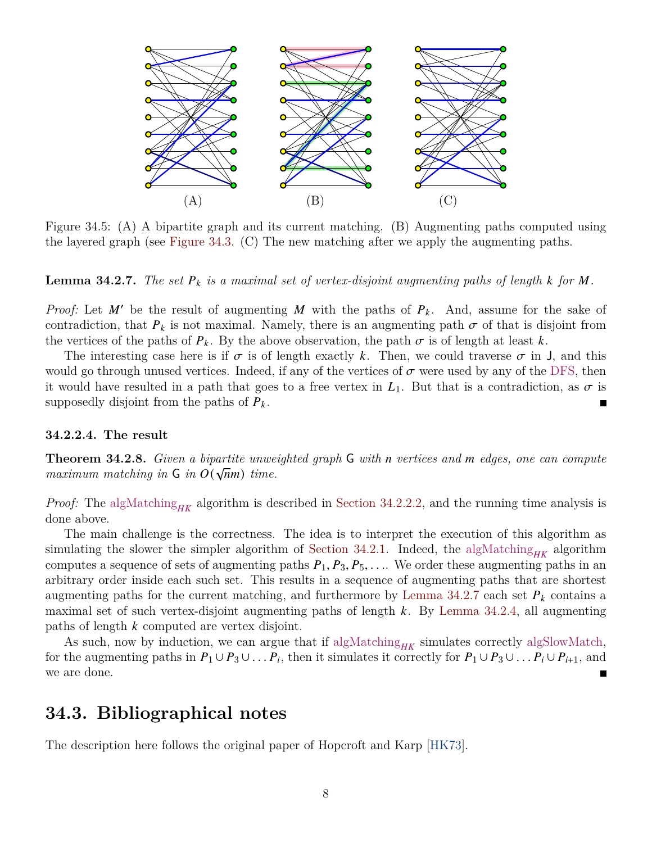

Figure 34.5: (A) A bipartite graph and its current matching. (B) Augmenting paths computed using the layered graph (see [Figure 34.3.](#page-5-0) (C) The new matching after we apply the augmenting paths.

**Lemma 34.2.7.** The set  $P_k$  is a maximal set of vertex-disjoint augmenting paths of length  $k$  for  $M$ .

*Proof:* Let M' be the result of augmenting M with the paths of  $P_k$ . And, assume for the sake of contradiction, that  $P_k$  is not maximal. Namely, there is an augmenting path  $\sigma$  of that is disjoint from the vertices of the paths of  $P_k$ . By the above observation, the path  $\sigma$  is of length at least k.

The interesting case here is if  $\sigma$  is of length exactly k. Then, we could traverse  $\sigma$  in J, and this would go through unused vertices. Indeed, if any of the vertices of  $\sigma$  were used by any of the DFS, then it would have resulted in a path that goes to a free vertex in  $L_1$ . But that is a contradiction, as  $\sigma$  is supposedly disjoint from the paths of  $P_k$ . П

#### **34.2.2.4. The result**

**Theorem 34.2.8.** *Given a bipartite unweighted graph* **G** *with n vertices and m edges, one can compute maximum matching in*  $\mathsf{G}$  *in*  $O(\sqrt{n}m)$  *time.* 

*Proof:* The algMatching<sub>HK</sub> algorithm is described in [Section 34.2.2.2,](#page-4-1) and the running time analysis is done above.

The main challenge is the correctness. The idea is to interpret the execution of this algorithm as simulating the slower the simpler algorithm of [Section 34.2.1.](#page-2-2) Indeed, the algMatching<sub>HK</sub> algorithm computes a sequence of sets of augmenting paths  $P_1$ ,  $P_3$ ,  $P_5$ , .... We order these augmenting paths in an arbitrary order inside each such set. This results in a sequence of augmenting paths that are shortest augmenting paths for the current matching, and furthermore by [Lemma 34.2.7](#page-5-1) each set  $P_k$  contains a maximal set of such vertex-disjoint augmenting paths of length  $k$ . By [Lemma 34.2.4,](#page-3-2) all augmenting paths of length  $k$  computed are vertex disjoint.

As such, now by induction, we can argue that if  $\text{algMatching}_{HK}$  simulates correctly algSlowMatch, for the augmenting paths in  $P_1 \cup P_3 \cup \ldots P_i$ , then it simulates it correctly for  $P_1 \cup P_3 \cup \ldots P_i \cup P_{i+1}$ , and we are done.

## **34.3. Bibliographical notes**

The description here follows the original paper of Hopcroft and Karp [\[HK73\]](#page-8-0).